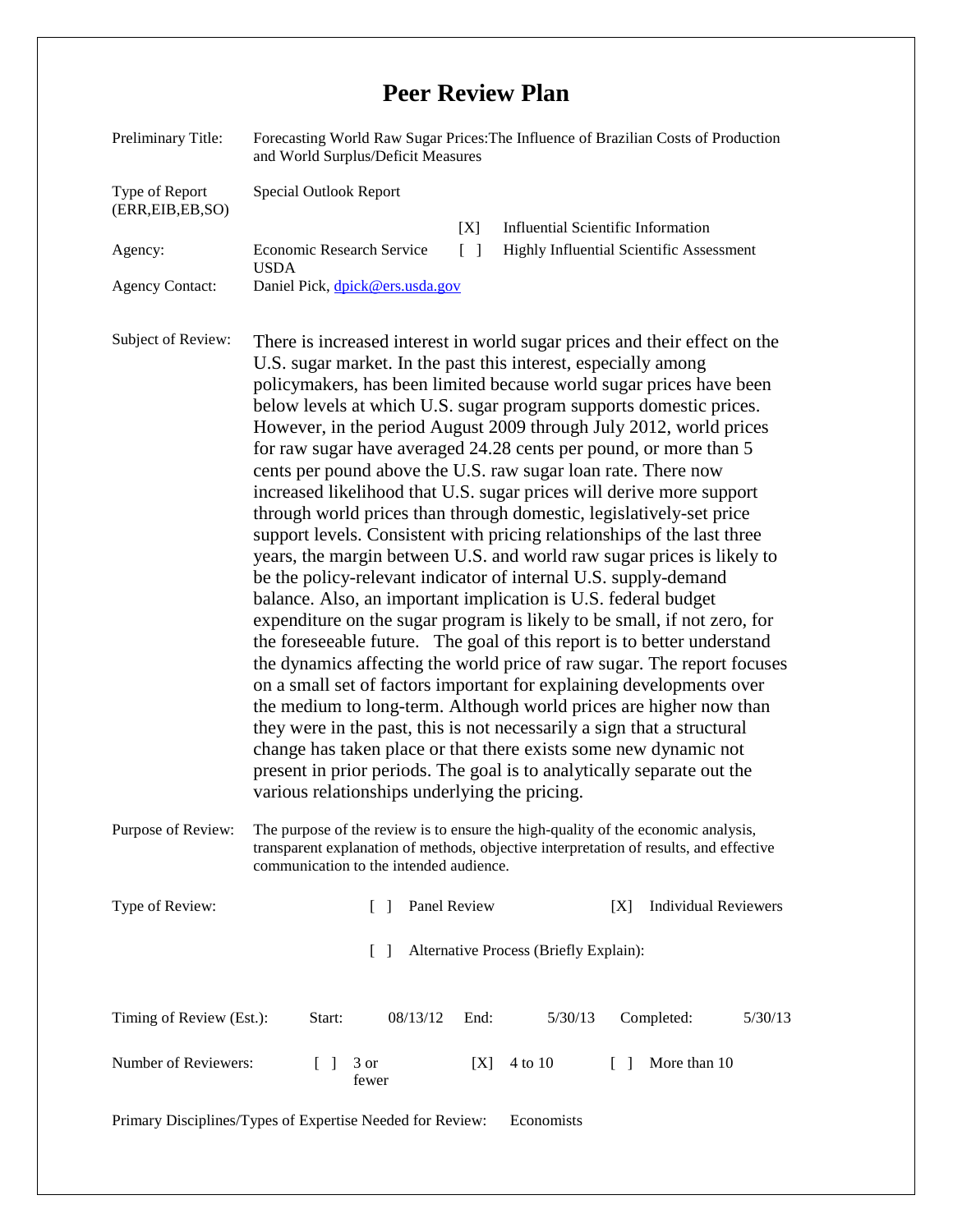## **Peer Review Plan**

| Preliminary Title:                   | Forecasting World Raw Sugar Prices: The Influence of Brazilian Costs of Production<br>and World Surplus/Deficit Measures                                                                                                                                                                                                                                                                                                                                                                                                                                                                                                                                                                                                                                                                                                                                                                                                                                                                                                                                                                                                                                                                                                                                                                                                                                                                                                                                                                                                                                                                                |  |  |  |  |  |  |
|--------------------------------------|---------------------------------------------------------------------------------------------------------------------------------------------------------------------------------------------------------------------------------------------------------------------------------------------------------------------------------------------------------------------------------------------------------------------------------------------------------------------------------------------------------------------------------------------------------------------------------------------------------------------------------------------------------------------------------------------------------------------------------------------------------------------------------------------------------------------------------------------------------------------------------------------------------------------------------------------------------------------------------------------------------------------------------------------------------------------------------------------------------------------------------------------------------------------------------------------------------------------------------------------------------------------------------------------------------------------------------------------------------------------------------------------------------------------------------------------------------------------------------------------------------------------------------------------------------------------------------------------------------|--|--|--|--|--|--|
| Type of Report<br>(ERR, EIB, EB, SO) | Special Outlook Report                                                                                                                                                                                                                                                                                                                                                                                                                                                                                                                                                                                                                                                                                                                                                                                                                                                                                                                                                                                                                                                                                                                                                                                                                                                                                                                                                                                                                                                                                                                                                                                  |  |  |  |  |  |  |
| Agency:                              | <b>Influential Scientific Information</b><br>[X]<br>Economic Research Service<br>Highly Influential Scientific Assessment<br>$\Box$<br><b>USDA</b>                                                                                                                                                                                                                                                                                                                                                                                                                                                                                                                                                                                                                                                                                                                                                                                                                                                                                                                                                                                                                                                                                                                                                                                                                                                                                                                                                                                                                                                      |  |  |  |  |  |  |
| <b>Agency Contact:</b>               | Daniel Pick, dpick@ers.usda.gov                                                                                                                                                                                                                                                                                                                                                                                                                                                                                                                                                                                                                                                                                                                                                                                                                                                                                                                                                                                                                                                                                                                                                                                                                                                                                                                                                                                                                                                                                                                                                                         |  |  |  |  |  |  |
| Subject of Review:                   | There is increased interest in world sugar prices and their effect on the<br>U.S. sugar market. In the past this interest, especially among<br>policymakers, has been limited because world sugar prices have been<br>below levels at which U.S. sugar program supports domestic prices.<br>However, in the period August 2009 through July 2012, world prices<br>for raw sugar have averaged 24.28 cents per pound, or more than 5<br>cents per pound above the U.S. raw sugar loan rate. There now<br>increased likelihood that U.S. sugar prices will derive more support<br>through world prices than through domestic, legislatively-set price<br>support levels. Consistent with pricing relationships of the last three<br>years, the margin between U.S. and world raw sugar prices is likely to<br>be the policy-relevant indicator of internal U.S. supply-demand<br>balance. Also, an important implication is U.S. federal budget<br>expenditure on the sugar program is likely to be small, if not zero, for<br>the foreseeable future. The goal of this report is to better understand<br>the dynamics affecting the world price of raw sugar. The report focuses<br>on a small set of factors important for explaining developments over<br>the medium to long-term. Although world prices are higher now than<br>they were in the past, this is not necessarily a sign that a structural<br>change has taken place or that there exists some new dynamic not<br>present in prior periods. The goal is to analytically separate out the<br>various relationships underlying the pricing. |  |  |  |  |  |  |
| Purpose of Review:                   | The purpose of the review is to ensure the high-quality of the economic analysis,<br>transparent explanation of methods, objective interpretation of results, and effective<br>communication to the intended audience.                                                                                                                                                                                                                                                                                                                                                                                                                                                                                                                                                                                                                                                                                                                                                                                                                                                                                                                                                                                                                                                                                                                                                                                                                                                                                                                                                                                  |  |  |  |  |  |  |
| Type of Review:                      | Panel Review<br><b>Individual Reviewers</b><br>[X]<br>$\Box$                                                                                                                                                                                                                                                                                                                                                                                                                                                                                                                                                                                                                                                                                                                                                                                                                                                                                                                                                                                                                                                                                                                                                                                                                                                                                                                                                                                                                                                                                                                                            |  |  |  |  |  |  |
|                                      | Alternative Process (Briefly Explain):<br>$\Box$                                                                                                                                                                                                                                                                                                                                                                                                                                                                                                                                                                                                                                                                                                                                                                                                                                                                                                                                                                                                                                                                                                                                                                                                                                                                                                                                                                                                                                                                                                                                                        |  |  |  |  |  |  |
| Timing of Review (Est.):             | 08/13/12<br>5/30/13<br>Completed:<br>Start:<br>End:<br>5/30/13                                                                                                                                                                                                                                                                                                                                                                                                                                                                                                                                                                                                                                                                                                                                                                                                                                                                                                                                                                                                                                                                                                                                                                                                                                                                                                                                                                                                                                                                                                                                          |  |  |  |  |  |  |
| Number of Reviewers:                 | 4 to 10<br>More than 10<br>3 or<br>$\Box$<br>[X]<br>$\Box$<br>fewer                                                                                                                                                                                                                                                                                                                                                                                                                                                                                                                                                                                                                                                                                                                                                                                                                                                                                                                                                                                                                                                                                                                                                                                                                                                                                                                                                                                                                                                                                                                                     |  |  |  |  |  |  |
|                                      | Primary Disciplines/Types of Expertise Needed for Review:<br>Economists                                                                                                                                                                                                                                                                                                                                                                                                                                                                                                                                                                                                                                                                                                                                                                                                                                                                                                                                                                                                                                                                                                                                                                                                                                                                                                                                                                                                                                                                                                                                 |  |  |  |  |  |  |